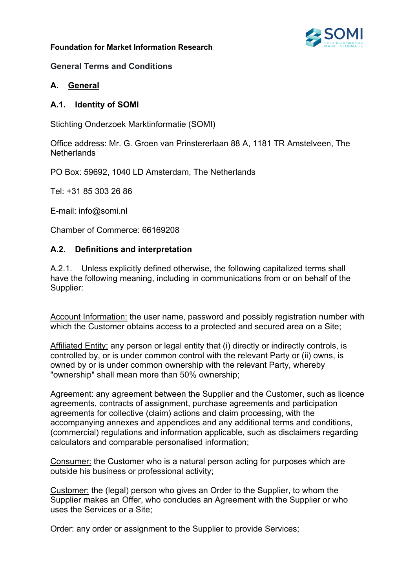### **Foundation for Market Information Research**



### **General Terms and Conditions**

### **A. General**

### **A.1. Identity of SOMI**

Stichting Onderzoek Marktinformatie (SOMI)

Office address: Mr. G. Groen van Prinstererlaan 88 A, 1181 TR Amstelveen, The **Netherlands** 

PO Box: 59692, 1040 LD Amsterdam, The Netherlands

Tel: +31 85 303 26 86

E-mail: info@somi.nl

Chamber of Commerce: 66169208

### **A.2. Definitions and interpretation**

A.2.1. Unless explicitly defined otherwise, the following capitalized terms shall have the following meaning, including in communications from or on behalf of the Supplier:

Account Information: the user name, password and possibly registration number with which the Customer obtains access to a protected and secured area on a Site;

Affiliated Entity: any person or legal entity that (i) directly or indirectly controls, is controlled by, or is under common control with the relevant Party or (ii) owns, is owned by or is under common ownership with the relevant Party, whereby "ownership" shall mean more than 50% ownership;

Agreement: any agreement between the Supplier and the Customer, such as licence agreements, contracts of assignment, purchase agreements and participation agreements for collective (claim) actions and claim processing, with the accompanying annexes and appendices and any additional terms and conditions, (commercial) regulations and information applicable, such as disclaimers regarding calculators and comparable personalised information;

Consumer: the Customer who is a natural person acting for purposes which are outside his business or professional activity;

Customer: the (legal) person who gives an Order to the Supplier, to whom the Supplier makes an Offer, who concludes an Agreement with the Supplier or who uses the Services or a Site;

**Order:** any order or assignment to the Supplier to provide Services;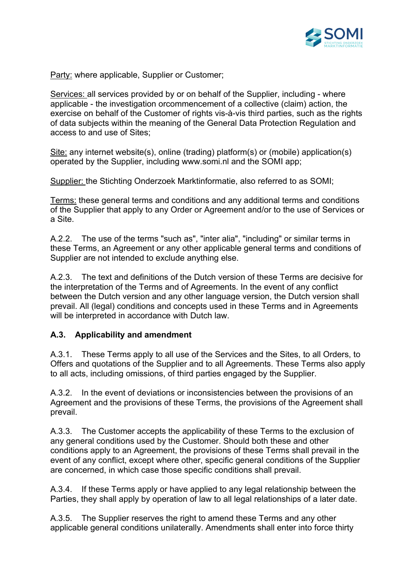

Party: where applicable, Supplier or Customer;

Services: all services provided by or on behalf of the Supplier, including - where applicable - the investigation orcommencement of a collective (claim) action, the exercise on behalf of the Customer of rights vis-à-vis third parties, such as the rights of data subjects within the meaning of the General Data Protection Regulation and access to and use of Sites;

Site: any internet website(s), online (trading) platform(s) or (mobile) application(s) operated by the Supplier, including www.somi.nl and the SOMI app;

Supplier: the Stichting Onderzoek Marktinformatie, also referred to as SOMI;

Terms: these general terms and conditions and any additional terms and conditions of the Supplier that apply to any Order or Agreement and/or to the use of Services or a Site.

A.2.2. The use of the terms "such as", "inter alia", "including" or similar terms in these Terms, an Agreement or any other applicable general terms and conditions of Supplier are not intended to exclude anything else.

A.2.3. The text and definitions of the Dutch version of these Terms are decisive for the interpretation of the Terms and of Agreements. In the event of any conflict between the Dutch version and any other language version, the Dutch version shall prevail. All (legal) conditions and concepts used in these Terms and in Agreements will be interpreted in accordance with Dutch law.

## **A.3. Applicability and amendment**

A.3.1. These Terms apply to all use of the Services and the Sites, to all Orders, to Offers and quotations of the Supplier and to all Agreements. These Terms also apply to all acts, including omissions, of third parties engaged by the Supplier.

A.3.2. In the event of deviations or inconsistencies between the provisions of an Agreement and the provisions of these Terms, the provisions of the Agreement shall prevail.

A.3.3. The Customer accepts the applicability of these Terms to the exclusion of any general conditions used by the Customer. Should both these and other conditions apply to an Agreement, the provisions of these Terms shall prevail in the event of any conflict, except where other, specific general conditions of the Supplier are concerned, in which case those specific conditions shall prevail.

A.3.4. If these Terms apply or have applied to any legal relationship between the Parties, they shall apply by operation of law to all legal relationships of a later date.

A.3.5. The Supplier reserves the right to amend these Terms and any other applicable general conditions unilaterally. Amendments shall enter into force thirty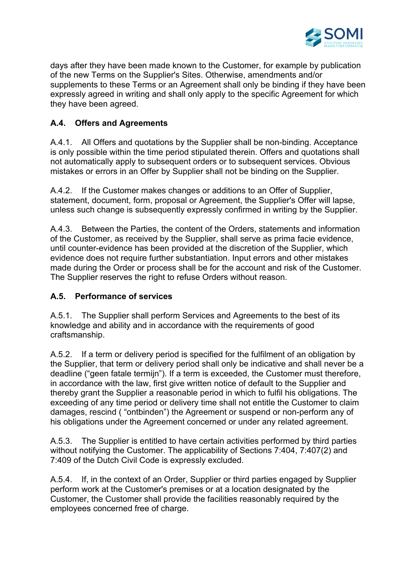

days after they have been made known to the Customer, for example by publication of the new Terms on the Supplier's Sites. Otherwise, amendments and/or supplements to these Terms or an Agreement shall only be binding if they have been expressly agreed in writing and shall only apply to the specific Agreement for which they have been agreed.

# **A.4. Offers and Agreements**

A.4.1. All Offers and quotations by the Supplier shall be non-binding. Acceptance is only possible within the time period stipulated therein. Offers and quotations shall not automatically apply to subsequent orders or to subsequent services. Obvious mistakes or errors in an Offer by Supplier shall not be binding on the Supplier.

A.4.2. If the Customer makes changes or additions to an Offer of Supplier, statement, document, form, proposal or Agreement, the Supplier's Offer will lapse, unless such change is subsequently expressly confirmed in writing by the Supplier.

A.4.3. Between the Parties, the content of the Orders, statements and information of the Customer, as received by the Supplier, shall serve as prima facie evidence, until counter-evidence has been provided at the discretion of the Supplier, which evidence does not require further substantiation. Input errors and other mistakes made during the Order or process shall be for the account and risk of the Customer. The Supplier reserves the right to refuse Orders without reason.

## **A.5. Performance of services**

A.5.1. The Supplier shall perform Services and Agreements to the best of its knowledge and ability and in accordance with the requirements of good craftsmanship.

A.5.2. If a term or delivery period is specified for the fulfilment of an obligation by the Supplier, that term or delivery period shall only be indicative and shall never be a deadline ("geen fatale termijn"). If a term is exceeded, the Customer must therefore, in accordance with the law, first give written notice of default to the Supplier and thereby grant the Supplier a reasonable period in which to fulfil his obligations. The exceeding of any time period or delivery time shall not entitle the Customer to claim damages, rescind ( "ontbinden") the Agreement or suspend or non-perform any of his obligations under the Agreement concerned or under any related agreement.

A.5.3. The Supplier is entitled to have certain activities performed by third parties without notifying the Customer. The applicability of Sections 7:404, 7:407(2) and 7:409 of the Dutch Civil Code is expressly excluded.

A.5.4. If, in the context of an Order, Supplier or third parties engaged by Supplier perform work at the Customer's premises or at a location designated by the Customer, the Customer shall provide the facilities reasonably required by the employees concerned free of charge.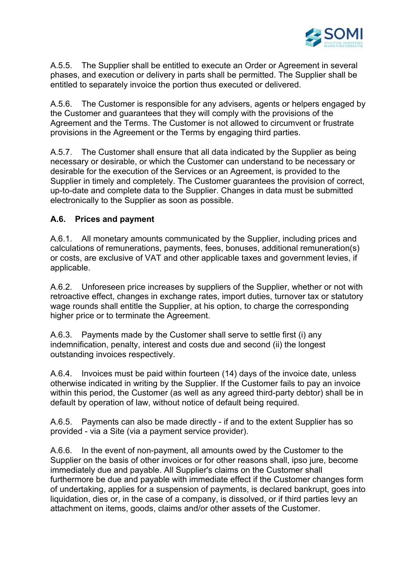

A.5.5. The Supplier shall be entitled to execute an Order or Agreement in several phases, and execution or delivery in parts shall be permitted. The Supplier shall be entitled to separately invoice the portion thus executed or delivered.

A.5.6. The Customer is responsible for any advisers, agents or helpers engaged by the Customer and guarantees that they will comply with the provisions of the Agreement and the Terms. The Customer is not allowed to circumvent or frustrate provisions in the Agreement or the Terms by engaging third parties.

A.5.7. The Customer shall ensure that all data indicated by the Supplier as being necessary or desirable, or which the Customer can understand to be necessary or desirable for the execution of the Services or an Agreement, is provided to the Supplier in timely and completely. The Customer guarantees the provision of correct, up-to-date and complete data to the Supplier. Changes in data must be submitted electronically to the Supplier as soon as possible.

## **A.6. Prices and payment**

A.6.1. All monetary amounts communicated by the Supplier, including prices and calculations of remunerations, payments, fees, bonuses, additional remuneration(s) or costs, are exclusive of VAT and other applicable taxes and government levies, if applicable.

A.6.2. Unforeseen price increases by suppliers of the Supplier, whether or not with retroactive effect, changes in exchange rates, import duties, turnover tax or statutory wage rounds shall entitle the Supplier, at his option, to charge the corresponding higher price or to terminate the Agreement.

A.6.3. Payments made by the Customer shall serve to settle first (i) any indemnification, penalty, interest and costs due and second (ii) the longest outstanding invoices respectively.

A.6.4. Invoices must be paid within fourteen (14) days of the invoice date, unless otherwise indicated in writing by the Supplier. If the Customer fails to pay an invoice within this period, the Customer (as well as any agreed third-party debtor) shall be in default by operation of law, without notice of default being required.

A.6.5. Payments can also be made directly - if and to the extent Supplier has so provided - via a Site (via a payment service provider).

A.6.6. In the event of non-payment, all amounts owed by the Customer to the Supplier on the basis of other invoices or for other reasons shall, ipso jure, become immediately due and payable. All Supplier's claims on the Customer shall furthermore be due and payable with immediate effect if the Customer changes form of undertaking, applies for a suspension of payments, is declared bankrupt, goes into liquidation, dies or, in the case of a company, is dissolved, or if third parties levy an attachment on items, goods, claims and/or other assets of the Customer.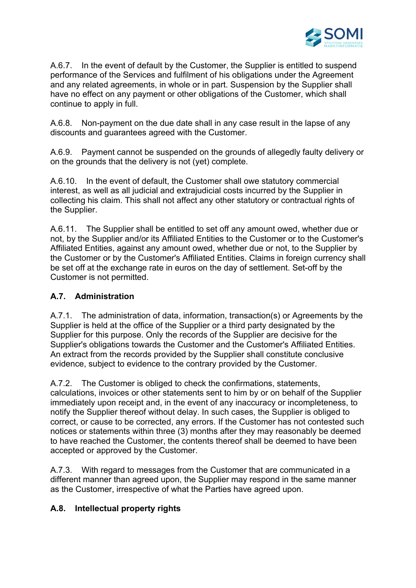

A.6.7. In the event of default by the Customer, the Supplier is entitled to suspend performance of the Services and fulfilment of his obligations under the Agreement and any related agreements, in whole or in part. Suspension by the Supplier shall have no effect on any payment or other obligations of the Customer, which shall continue to apply in full.

A.6.8. Non-payment on the due date shall in any case result in the lapse of any discounts and guarantees agreed with the Customer.

A.6.9. Payment cannot be suspended on the grounds of allegedly faulty delivery or on the grounds that the delivery is not (yet) complete.

A.6.10. In the event of default, the Customer shall owe statutory commercial interest, as well as all judicial and extrajudicial costs incurred by the Supplier in collecting his claim. This shall not affect any other statutory or contractual rights of the Supplier.

A.6.11. The Supplier shall be entitled to set off any amount owed, whether due or not, by the Supplier and/or its Affiliated Entities to the Customer or to the Customer's Affiliated Entities, against any amount owed, whether due or not, to the Supplier by the Customer or by the Customer's Affiliated Entities. Claims in foreign currency shall be set off at the exchange rate in euros on the day of settlement. Set-off by the Customer is not permitted.

## **A.7. Administration**

A.7.1. The administration of data, information, transaction(s) or Agreements by the Supplier is held at the office of the Supplier or a third party designated by the Supplier for this purpose. Only the records of the Supplier are decisive for the Supplier's obligations towards the Customer and the Customer's Affiliated Entities. An extract from the records provided by the Supplier shall constitute conclusive evidence, subject to evidence to the contrary provided by the Customer.

A.7.2. The Customer is obliged to check the confirmations, statements, calculations, invoices or other statements sent to him by or on behalf of the Supplier immediately upon receipt and, in the event of any inaccuracy or incompleteness, to notify the Supplier thereof without delay. In such cases, the Supplier is obliged to correct, or cause to be corrected, any errors. If the Customer has not contested such notices or statements within three (3) months after they may reasonably be deemed to have reached the Customer, the contents thereof shall be deemed to have been accepted or approved by the Customer.

A.7.3. With regard to messages from the Customer that are communicated in a different manner than agreed upon, the Supplier may respond in the same manner as the Customer, irrespective of what the Parties have agreed upon.

## **A.8. Intellectual property rights**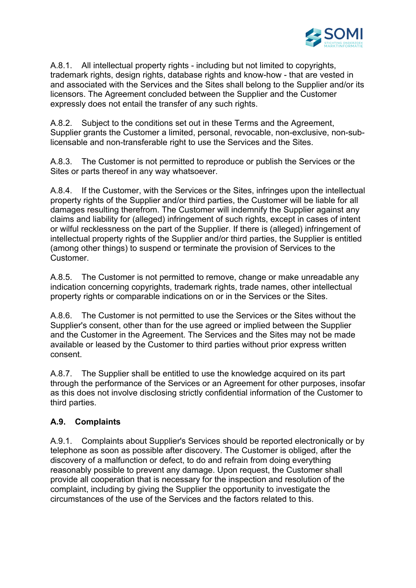

A.8.1. All intellectual property rights - including but not limited to copyrights, trademark rights, design rights, database rights and know-how - that are vested in and associated with the Services and the Sites shall belong to the Supplier and/or its licensors. The Agreement concluded between the Supplier and the Customer expressly does not entail the transfer of any such rights.

A.8.2. Subject to the conditions set out in these Terms and the Agreement, Supplier grants the Customer a limited, personal, revocable, non-exclusive, non-sublicensable and non-transferable right to use the Services and the Sites.

A.8.3. The Customer is not permitted to reproduce or publish the Services or the Sites or parts thereof in any way whatsoever.

A.8.4. If the Customer, with the Services or the Sites, infringes upon the intellectual property rights of the Supplier and/or third parties, the Customer will be liable for all damages resulting therefrom. The Customer will indemnify the Supplier against any claims and liability for (alleged) infringement of such rights, except in cases of intent or wilful recklessness on the part of the Supplier. If there is (alleged) infringement of intellectual property rights of the Supplier and/or third parties, the Supplier is entitled (among other things) to suspend or terminate the provision of Services to the Customer.

A.8.5. The Customer is not permitted to remove, change or make unreadable any indication concerning copyrights, trademark rights, trade names, other intellectual property rights or comparable indications on or in the Services or the Sites.

A.8.6. The Customer is not permitted to use the Services or the Sites without the Supplier's consent, other than for the use agreed or implied between the Supplier and the Customer in the Agreement. The Services and the Sites may not be made available or leased by the Customer to third parties without prior express written consent.

A.8.7. The Supplier shall be entitled to use the knowledge acquired on its part through the performance of the Services or an Agreement for other purposes, insofar as this does not involve disclosing strictly confidential information of the Customer to third parties.

# **A.9. Complaints**

A.9.1. Complaints about Supplier's Services should be reported electronically or by telephone as soon as possible after discovery. The Customer is obliged, after the discovery of a malfunction or defect, to do and refrain from doing everything reasonably possible to prevent any damage. Upon request, the Customer shall provide all cooperation that is necessary for the inspection and resolution of the complaint, including by giving the Supplier the opportunity to investigate the circumstances of the use of the Services and the factors related to this.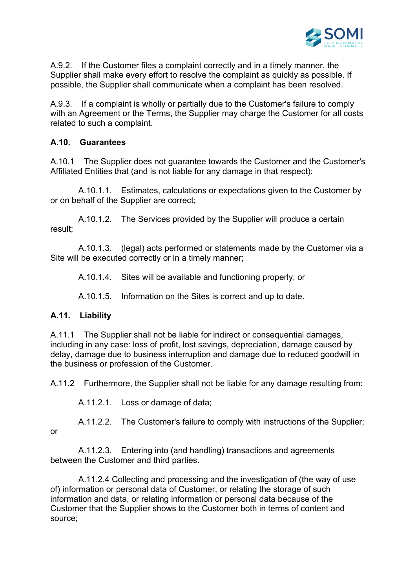

A.9.2. If the Customer files a complaint correctly and in a timely manner, the Supplier shall make every effort to resolve the complaint as quickly as possible. If possible, the Supplier shall communicate when a complaint has been resolved.

A.9.3. If a complaint is wholly or partially due to the Customer's failure to comply with an Agreement or the Terms, the Supplier may charge the Customer for all costs related to such a complaint.

## **A.10. Guarantees**

A.10.1 The Supplier does not guarantee towards the Customer and the Customer's Affiliated Entities that (and is not liable for any damage in that respect):

 A.10.1.1. Estimates, calculations or expectations given to the Customer by or on behalf of the Supplier are correct;

 A.10.1.2. The Services provided by the Supplier will produce a certain result;

 A.10.1.3. (legal) acts performed or statements made by the Customer via a Site will be executed correctly or in a timely manner;

A.10.1.4. Sites will be available and functioning properly; or

A.10.1.5. Information on the Sites is correct and up to date.

## **A.11. Liability**

A.11.1 The Supplier shall not be liable for indirect or consequential damages, including in any case: loss of profit, lost savings, depreciation, damage caused by delay, damage due to business interruption and damage due to reduced goodwill in the business or profession of the Customer.

A.11.2 Furthermore, the Supplier shall not be liable for any damage resulting from:

A.11.2.1. Loss or damage of data;

 A.11.2.2. The Customer's failure to comply with instructions of the Supplier; or

 A.11.2.3. Entering into (and handling) transactions and agreements between the Customer and third parties.

 A.11.2.4 Collecting and processing and the investigation of (the way of use of) information or personal data of Customer, or relating the storage of such information and data, or relating information or personal data because of the Customer that the Supplier shows to the Customer both in terms of content and source;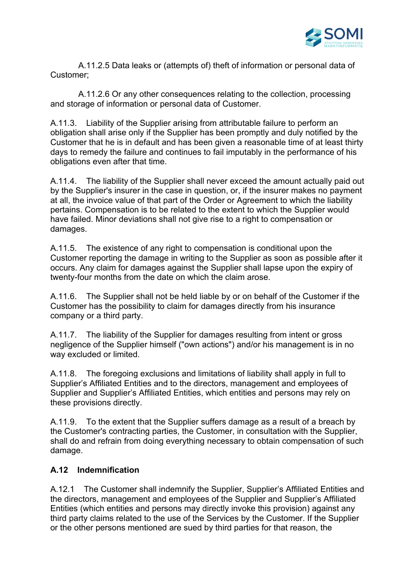

 A.11.2.5 Data leaks or (attempts of) theft of information or personal data of Customer;

 A.11.2.6 Or any other consequences relating to the collection, processing and storage of information or personal data of Customer.

A.11.3. Liability of the Supplier arising from attributable failure to perform an obligation shall arise only if the Supplier has been promptly and duly notified by the Customer that he is in default and has been given a reasonable time of at least thirty days to remedy the failure and continues to fail imputably in the performance of his obligations even after that time.

A.11.4. The liability of the Supplier shall never exceed the amount actually paid out by the Supplier's insurer in the case in question, or, if the insurer makes no payment at all, the invoice value of that part of the Order or Agreement to which the liability pertains. Compensation is to be related to the extent to which the Supplier would have failed. Minor deviations shall not give rise to a right to compensation or damages.

A.11.5. The existence of any right to compensation is conditional upon the Customer reporting the damage in writing to the Supplier as soon as possible after it occurs. Any claim for damages against the Supplier shall lapse upon the expiry of twenty-four months from the date on which the claim arose.

A.11.6. The Supplier shall not be held liable by or on behalf of the Customer if the Customer has the possibility to claim for damages directly from his insurance company or a third party.

A.11.7. The liability of the Supplier for damages resulting from intent or gross negligence of the Supplier himself ("own actions") and/or his management is in no way excluded or limited.

A.11.8. The foregoing exclusions and limitations of liability shall apply in full to Supplier's Affiliated Entities and to the directors, management and employees of Supplier and Supplier's Affiliated Entities, which entities and persons may rely on these provisions directly.

A.11.9. To the extent that the Supplier suffers damage as a result of a breach by the Customer's contracting parties, the Customer, in consultation with the Supplier, shall do and refrain from doing everything necessary to obtain compensation of such damage.

## **A.12 Indemnification**

A.12.1 The Customer shall indemnify the Supplier, Supplier's Affiliated Entities and the directors, management and employees of the Supplier and Supplier's Affiliated Entities (which entities and persons may directly invoke this provision) against any third party claims related to the use of the Services by the Customer. If the Supplier or the other persons mentioned are sued by third parties for that reason, the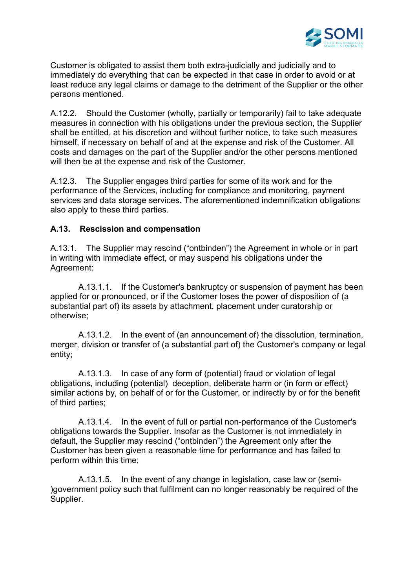

Customer is obligated to assist them both extra-judicially and judicially and to immediately do everything that can be expected in that case in order to avoid or at least reduce any legal claims or damage to the detriment of the Supplier or the other persons mentioned.

A.12.2. Should the Customer (wholly, partially or temporarily) fail to take adequate measures in connection with his obligations under the previous section, the Supplier shall be entitled, at his discretion and without further notice, to take such measures himself, if necessary on behalf of and at the expense and risk of the Customer. All costs and damages on the part of the Supplier and/or the other persons mentioned will then be at the expense and risk of the Customer.

A.12.3. The Supplier engages third parties for some of its work and for the performance of the Services, including for compliance and monitoring, payment services and data storage services. The aforementioned indemnification obligations also apply to these third parties.

## **A.13. Rescission and compensation**

A.13.1. The Supplier may rescind ("ontbinden") the Agreement in whole or in part in writing with immediate effect, or may suspend his obligations under the Agreement:

 A.13.1.1. If the Customer's bankruptcy or suspension of payment has been applied for or pronounced, or if the Customer loses the power of disposition of (a substantial part of) its assets by attachment, placement under curatorship or otherwise;

 A.13.1.2. In the event of (an announcement of) the dissolution, termination, merger, division or transfer of (a substantial part of) the Customer's company or legal entity;

 A.13.1.3. In case of any form of (potential) fraud or violation of legal obligations, including (potential) deception, deliberate harm or (in form or effect) similar actions by, on behalf of or for the Customer, or indirectly by or for the benefit of third parties;

 A.13.1.4. In the event of full or partial non-performance of the Customer's obligations towards the Supplier. Insofar as the Customer is not immediately in default, the Supplier may rescind ("ontbinden") the Agreement only after the Customer has been given a reasonable time for performance and has failed to perform within this time;

 A.13.1.5. In the event of any change in legislation, case law or (semi- )government policy such that fulfilment can no longer reasonably be required of the Supplier.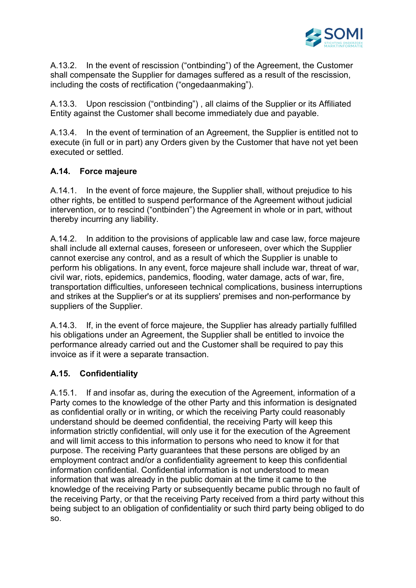

A.13.2. In the event of rescission ("ontbinding") of the Agreement, the Customer shall compensate the Supplier for damages suffered as a result of the rescission, including the costs of rectification ("ongedaanmaking").

A.13.3. Upon rescission ("ontbinding") , all claims of the Supplier or its Affiliated Entity against the Customer shall become immediately due and payable.

A.13.4. In the event of termination of an Agreement, the Supplier is entitled not to execute (in full or in part) any Orders given by the Customer that have not yet been executed or settled.

# **A.14. Force majeure**

A.14.1. In the event of force majeure, the Supplier shall, without prejudice to his other rights, be entitled to suspend performance of the Agreement without judicial intervention, or to rescind ("ontbinden") the Agreement in whole or in part, without thereby incurring any liability.

A.14.2. In addition to the provisions of applicable law and case law, force majeure shall include all external causes, foreseen or unforeseen, over which the Supplier cannot exercise any control, and as a result of which the Supplier is unable to perform his obligations. In any event, force majeure shall include war, threat of war, civil war, riots, epidemics, pandemics, flooding, water damage, acts of war, fire, transportation difficulties, unforeseen technical complications, business interruptions and strikes at the Supplier's or at its suppliers' premises and non-performance by suppliers of the Supplier.

A.14.3. If, in the event of force majeure, the Supplier has already partially fulfilled his obligations under an Agreement, the Supplier shall be entitled to invoice the performance already carried out and the Customer shall be required to pay this invoice as if it were a separate transaction.

# **A.15. Confidentiality**

A.15.1. If and insofar as, during the execution of the Agreement, information of a Party comes to the knowledge of the other Party and this information is designated as confidential orally or in writing, or which the receiving Party could reasonably understand should be deemed confidential, the receiving Party will keep this information strictly confidential, will only use it for the execution of the Agreement and will limit access to this information to persons who need to know it for that purpose. The receiving Party guarantees that these persons are obliged by an employment contract and/or a confidentiality agreement to keep this confidential information confidential. Confidential information is not understood to mean information that was already in the public domain at the time it came to the knowledge of the receiving Party or subsequently became public through no fault of the receiving Party, or that the receiving Party received from a third party without this being subject to an obligation of confidentiality or such third party being obliged to do so.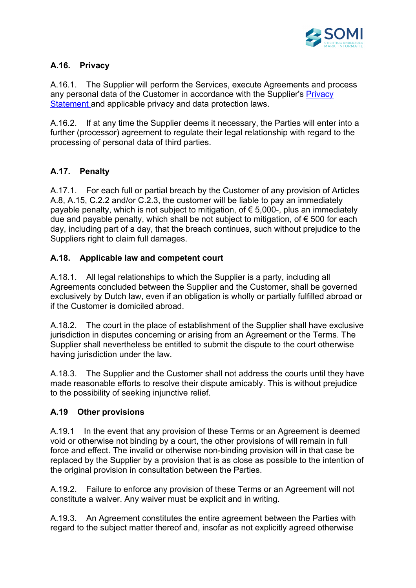

# **A.16. Privacy**

A.16.1. The Supplier will perform the Services, execute Agreements and process any personal data of the Customer in accordance with the Supplier's Privacy Statement and applicable privacy and data protection laws.

A.16.2. If at any time the Supplier deems it necessary, the Parties will enter into a further (processor) agreement to regulate their legal relationship with regard to the processing of personal data of third parties.

# **A.17. Penalty**

A.17.1. For each full or partial breach by the Customer of any provision of Articles A.8, A.15, C.2.2 and/or C.2.3, the customer will be liable to pay an immediately payable penalty, which is not subject to mitigation, of  $\epsilon$  5,000-, plus an immediately due and payable penalty, which shall be not subject to mitigation, of € 500 for each day, including part of a day, that the breach continues, such without prejudice to the Suppliers right to claim full damages.

# **A.18. Applicable law and competent court**

A.18.1. All legal relationships to which the Supplier is a party, including all Agreements concluded between the Supplier and the Customer, shall be governed exclusively by Dutch law, even if an obligation is wholly or partially fulfilled abroad or if the Customer is domiciled abroad.

A.18.2. The court in the place of establishment of the Supplier shall have exclusive jurisdiction in disputes concerning or arising from an Agreement or the Terms. The Supplier shall nevertheless be entitled to submit the dispute to the court otherwise having jurisdiction under the law.

A.18.3. The Supplier and the Customer shall not address the courts until they have made reasonable efforts to resolve their dispute amicably. This is without prejudice to the possibility of seeking injunctive relief.

## **A.19 Other provisions**

A.19.1 In the event that any provision of these Terms or an Agreement is deemed void or otherwise not binding by a court, the other provisions of will remain in full force and effect. The invalid or otherwise non-binding provision will in that case be replaced by the Supplier by a provision that is as close as possible to the intention of the original provision in consultation between the Parties.

A.19.2. Failure to enforce any provision of these Terms or an Agreement will not constitute a waiver. Any waiver must be explicit and in writing.

A.19.3. An Agreement constitutes the entire agreement between the Parties with regard to the subject matter thereof and, insofar as not explicitly agreed otherwise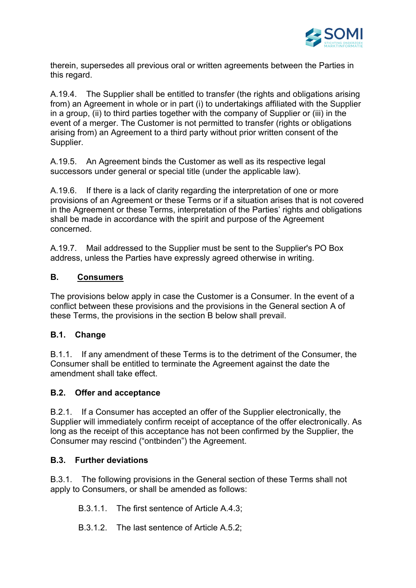

therein, supersedes all previous oral or written agreements between the Parties in this regard.

A.19.4. The Supplier shall be entitled to transfer (the rights and obligations arising from) an Agreement in whole or in part (i) to undertakings affiliated with the Supplier in a group, (ii) to third parties together with the company of Supplier or (iii) in the event of a merger. The Customer is not permitted to transfer (rights or obligations arising from) an Agreement to a third party without prior written consent of the Supplier.

A.19.5. An Agreement binds the Customer as well as its respective legal successors under general or special title (under the applicable law).

A.19.6. If there is a lack of clarity regarding the interpretation of one or more provisions of an Agreement or these Terms or if a situation arises that is not covered in the Agreement or these Terms, interpretation of the Parties' rights and obligations shall be made in accordance with the spirit and purpose of the Agreement concerned.

A.19.7. Mail addressed to the Supplier must be sent to the Supplier's PO Box address, unless the Parties have expressly agreed otherwise in writing.

## **B. Consumers**

The provisions below apply in case the Customer is a Consumer. In the event of a conflict between these provisions and the provisions in the General section A of these Terms, the provisions in the section B below shall prevail.

## **B.1. Change**

B.1.1. If any amendment of these Terms is to the detriment of the Consumer, the Consumer shall be entitled to terminate the Agreement against the date the amendment shall take effect.

### **B.2. Offer and acceptance**

B.2.1. If a Consumer has accepted an offer of the Supplier electronically, the Supplier will immediately confirm receipt of acceptance of the offer electronically. As long as the receipt of this acceptance has not been confirmed by the Supplier, the Consumer may rescind ("ontbinden") the Agreement.

### **B.3. Further deviations**

B.3.1. The following provisions in the General section of these Terms shall not apply to Consumers, or shall be amended as follows:

B.3.1.1. The first sentence of Article A.4.3;

B.3.1.2. The last sentence of Article A.5.2;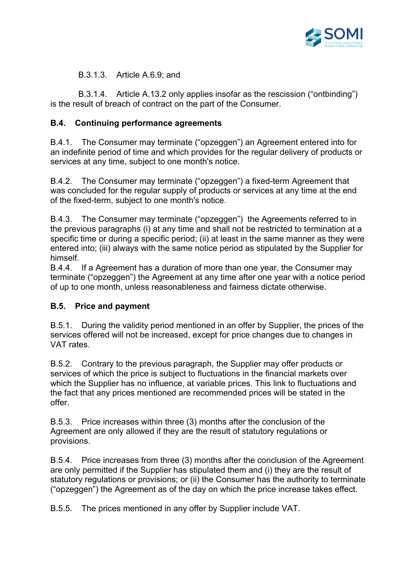

B.3.1.3. Article A.6.9; and

 B.3.1.4. Article A.13.2 only applies insofar as the rescission ("ontbinding") is the result of breach of contract on the part of the Consumer.

# **B.4. Continuing performance agreements**

B.4.1. The Consumer may terminate ("opzeggen") an Agreement entered into for an indefinite period of time and which provides for the regular delivery of products or services at any time, subject to one month's notice.

B.4.2. The Consumer may terminate ("opzeggen") a fixed-term Agreement that was concluded for the regular supply of products or services at any time at the end of the fixed-term, subject to one month's notice.

B.4.3. The Consumer may terminate ("opzeggen") the Agreements referred to in the previous paragraphs (i) at any time and shall not be restricted to termination at a specific time or during a specific period; (ii) at least in the same manner as they were entered into; (iii) always with the same notice period as stipulated by the Supplier for himself.

B.4.4. If a Agreement has a duration of more than one year, the Consumer may terminate ("opzeggen") the Agreement at any time after one year with a notice period of up to one month, unless reasonableness and fairness dictate otherwise.

## **B.5. Price and payment**

B.5.1. During the validity period mentioned in an offer by Supplier, the prices of the services offered will not be increased, except for price changes due to changes in VAT rates.

B.5.2. Contrary to the previous paragraph, the Supplier may offer products or services of which the price is subject to fluctuations in the financial markets over which the Supplier has no influence, at variable prices. This link to fluctuations and the fact that any prices mentioned are recommended prices will be stated in the offer.

B.5.3. Price increases within three (3) months after the conclusion of the Agreement are only allowed if they are the result of statutory regulations or provisions.

B.5.4. Price increases from three (3) months after the conclusion of the Agreement are only permitted if the Supplier has stipulated them and (i) they are the result of statutory regulations or provisions; or (ii) the Consumer has the authority to terminate ("opzeggen") the Agreement as of the day on which the price increase takes effect.

B.5.5. The prices mentioned in any offer by Supplier include VAT.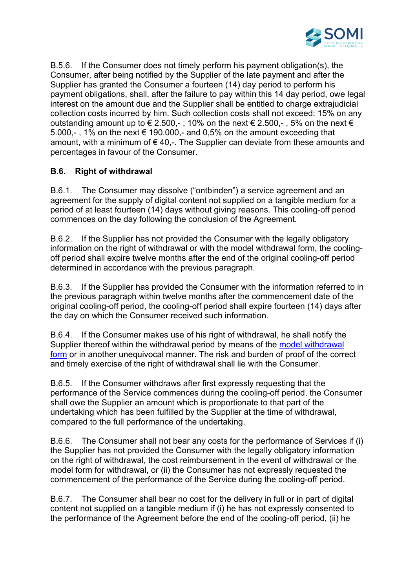

B.5.6. If the Consumer does not timely perform his payment obligation(s), the Consumer, after being notified by the Supplier of the late payment and after the Supplier has granted the Consumer a fourteen (14) day period to perform his payment obligations, shall, after the failure to pay within this 14 day period, owe legal interest on the amount due and the Supplier shall be entitled to charge extrajudicial collection costs incurred by him. Such collection costs shall not exceed: 15% on any outstanding amount up to  $\epsilon$  2.500,-; 10% on the next  $\epsilon$  2.500,-, 5% on the next  $\epsilon$ 5.000,-, 1% on the next  $\epsilon$  190.000,- and 0,5% on the amount exceeding that amount, with a minimum of  $\epsilon$  40.-. The Supplier can deviate from these amounts and percentages in favour of the Consumer.

# **B.6. Right of withdrawal**

B.6.1. The Consumer may dissolve ("ontbinden") a service agreement and an agreement for the supply of digital content not supplied on a tangible medium for a period of at least fourteen (14) days without giving reasons. This cooling-off period commences on the day following the conclusion of the Agreement.

B.6.2. If the Supplier has not provided the Consumer with the legally obligatory information on the right of withdrawal or with the model withdrawal form, the coolingoff period shall expire twelve months after the end of the original cooling-off period determined in accordance with the previous paragraph.

B.6.3. If the Supplier has provided the Consumer with the information referred to in the previous paragraph within twelve months after the commencement date of the original cooling-off period, the cooling-off period shall expire fourteen (14) days after the day on which the Consumer received such information.

B.6.4. If the Consumer makes use of his right of withdrawal, he shall notify the Supplier thereof within the withdrawal period by means of the model withdrawal form or in another unequivocal manner. The risk and burden of proof of the correct and timely exercise of the right of withdrawal shall lie with the Consumer.

B.6.5. If the Consumer withdraws after first expressly requesting that the performance of the Service commences during the cooling-off period, the Consumer shall owe the Supplier an amount which is proportionate to that part of the undertaking which has been fulfilled by the Supplier at the time of withdrawal, compared to the full performance of the undertaking.

B.6.6. The Consumer shall not bear any costs for the performance of Services if (i) the Supplier has not provided the Consumer with the legally obligatory information on the right of withdrawal, the cost reimbursement in the event of withdrawal or the model form for withdrawal, or (ii) the Consumer has not expressly requested the commencement of the performance of the Service during the cooling-off period.

B.6.7. The Consumer shall bear no cost for the delivery in full or in part of digital content not supplied on a tangible medium if (i) he has not expressly consented to the performance of the Agreement before the end of the cooling-off period, (ii) he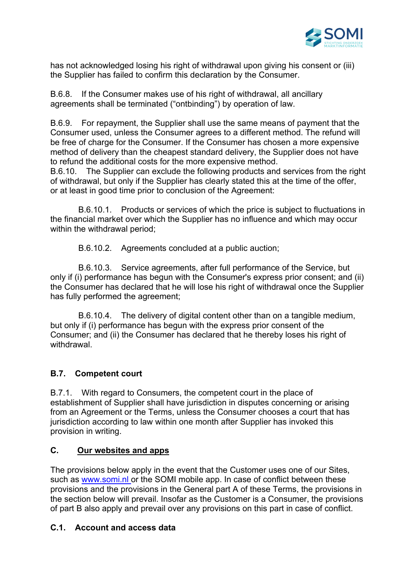

has not acknowledged losing his right of withdrawal upon giving his consent or (iii) the Supplier has failed to confirm this declaration by the Consumer.

B.6.8. If the Consumer makes use of his right of withdrawal, all ancillary agreements shall be terminated ("ontbinding") by operation of law.

B.6.9. For repayment, the Supplier shall use the same means of payment that the Consumer used, unless the Consumer agrees to a different method. The refund will be free of charge for the Consumer. If the Consumer has chosen a more expensive method of delivery than the cheapest standard delivery, the Supplier does not have to refund the additional costs for the more expensive method.

B.6.10. The Supplier can exclude the following products and services from the right of withdrawal, but only if the Supplier has clearly stated this at the time of the offer, or at least in good time prior to conclusion of the Agreement:

 B.6.10.1. Products or services of which the price is subject to fluctuations in the financial market over which the Supplier has no influence and which may occur within the withdrawal period;

B.6.10.2. Agreements concluded at a public auction;

 B.6.10.3. Service agreements, after full performance of the Service, but only if (i) performance has begun with the Consumer's express prior consent; and (ii) the Consumer has declared that he will lose his right of withdrawal once the Supplier has fully performed the agreement;

 B.6.10.4. The delivery of digital content other than on a tangible medium, but only if (i) performance has begun with the express prior consent of the Consumer; and (ii) the Consumer has declared that he thereby loses his right of withdrawal.

## **B.7. Competent court**

B.7.1. With regard to Consumers, the competent court in the place of establishment of Supplier shall have jurisdiction in disputes concerning or arising from an Agreement or the Terms, unless the Consumer chooses a court that has jurisdiction according to law within one month after Supplier has invoked this provision in writing.

## **C. Our websites and apps**

The provisions below apply in the event that the Customer uses one of our Sites, such as www.somi.nl or the SOMI mobile app. In case of conflict between these provisions and the provisions in the General part A of these Terms, the provisions in the section below will prevail. Insofar as the Customer is a Consumer, the provisions of part B also apply and prevail over any provisions on this part in case of conflict.

### **C.1. Account and access data**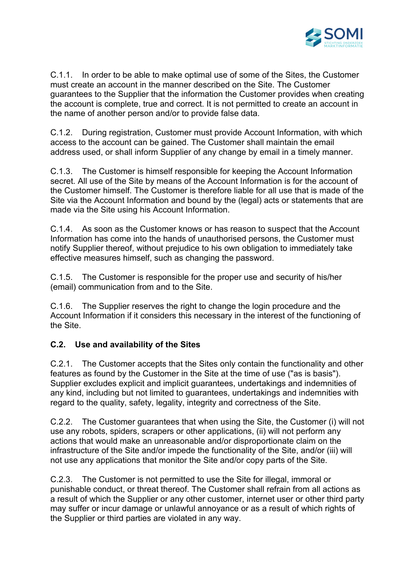

C.1.1. In order to be able to make optimal use of some of the Sites, the Customer must create an account in the manner described on the Site. The Customer guarantees to the Supplier that the information the Customer provides when creating the account is complete, true and correct. It is not permitted to create an account in the name of another person and/or to provide false data.

C.1.2. During registration, Customer must provide Account Information, with which access to the account can be gained. The Customer shall maintain the email address used, or shall inform Supplier of any change by email in a timely manner.

C.1.3. The Customer is himself responsible for keeping the Account Information secret. All use of the Site by means of the Account Information is for the account of the Customer himself. The Customer is therefore liable for all use that is made of the Site via the Account Information and bound by the (legal) acts or statements that are made via the Site using his Account Information.

C.1.4. As soon as the Customer knows or has reason to suspect that the Account Information has come into the hands of unauthorised persons, the Customer must notify Supplier thereof, without prejudice to his own obligation to immediately take effective measures himself, such as changing the password.

C.1.5. The Customer is responsible for the proper use and security of his/her (email) communication from and to the Site.

C.1.6. The Supplier reserves the right to change the login procedure and the Account Information if it considers this necessary in the interest of the functioning of the Site.

## **C.2. Use and availability of the Sites**

C.2.1. The Customer accepts that the Sites only contain the functionality and other features as found by the Customer in the Site at the time of use ("as is basis"). Supplier excludes explicit and implicit guarantees, undertakings and indemnities of any kind, including but not limited to guarantees, undertakings and indemnities with regard to the quality, safety, legality, integrity and correctness of the Site.

C.2.2. The Customer guarantees that when using the Site, the Customer (i) will not use any robots, spiders, scrapers or other applications, (ii) will not perform any actions that would make an unreasonable and/or disproportionate claim on the infrastructure of the Site and/or impede the functionality of the Site, and/or (iii) will not use any applications that monitor the Site and/or copy parts of the Site.

C.2.3. The Customer is not permitted to use the Site for illegal, immoral or punishable conduct, or threat thereof. The Customer shall refrain from all actions as a result of which the Supplier or any other customer, internet user or other third party may suffer or incur damage or unlawful annoyance or as a result of which rights of the Supplier or third parties are violated in any way.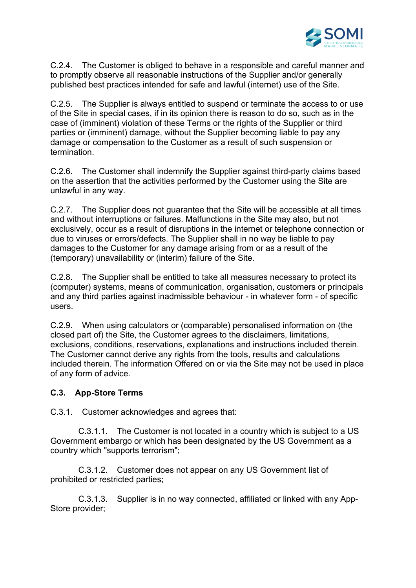

C.2.4. The Customer is obliged to behave in a responsible and careful manner and to promptly observe all reasonable instructions of the Supplier and/or generally published best practices intended for safe and lawful (internet) use of the Site.

C.2.5. The Supplier is always entitled to suspend or terminate the access to or use of the Site in special cases, if in its opinion there is reason to do so, such as in the case of (imminent) violation of these Terms or the rights of the Supplier or third parties or (imminent) damage, without the Supplier becoming liable to pay any damage or compensation to the Customer as a result of such suspension or termination.

C.2.6. The Customer shall indemnify the Supplier against third-party claims based on the assertion that the activities performed by the Customer using the Site are unlawful in any way.

C.2.7. The Supplier does not guarantee that the Site will be accessible at all times and without interruptions or failures. Malfunctions in the Site may also, but not exclusively, occur as a result of disruptions in the internet or telephone connection or due to viruses or errors/defects. The Supplier shall in no way be liable to pay damages to the Customer for any damage arising from or as a result of the (temporary) unavailability or (interim) failure of the Site.

C.2.8. The Supplier shall be entitled to take all measures necessary to protect its (computer) systems, means of communication, organisation, customers or principals and any third parties against inadmissible behaviour - in whatever form - of specific users.

C.2.9. When using calculators or (comparable) personalised information on (the closed part of) the Site, the Customer agrees to the disclaimers, limitations, exclusions, conditions, reservations, explanations and instructions included therein. The Customer cannot derive any rights from the tools, results and calculations included therein. The information Offered on or via the Site may not be used in place of any form of advice.

### **C.3. App-Store Terms**

C.3.1. Customer acknowledges and agrees that:

 C.3.1.1. The Customer is not located in a country which is subject to a US Government embargo or which has been designated by the US Government as a country which "supports terrorism";

 C.3.1.2. Customer does not appear on any US Government list of prohibited or restricted parties;

 C.3.1.3. Supplier is in no way connected, affiliated or linked with any App-Store provider;